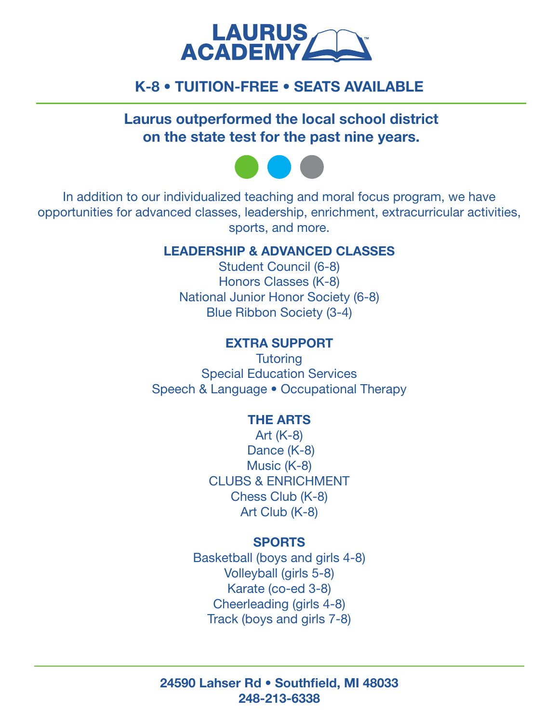

# K-8 • TUITION-FREE • SEATS AVAILABLE

Laurus outperformed the local school district on the state test for the past nine years.



In addition to our individualized teaching and moral focus program, we have opportunities for advanced classes, leadership, enrichment, extracurricular activities, sports, and more.

## LEADERSHIP & ADVANCED CLASSES

Student Council (6-8) Honors Classes (K-8) National Junior Honor Society (6-8) Blue Ribbon Society (3-4)

## EXTRA SUPPORT

**Tutoring** Special Education Services Speech & Language • Occupational Therapy

## THE ARTS

Art (K-8) Dance (K-8) Music (K-8) CLUBS & ENRICHMENT Chess Club (K-8) Art Club (K-8)

#### SPORTS

Basketball (boys and girls 4-8) Volleyball (girls 5-8) Karate (co-ed 3-8) Cheerleading (girls 4-8) Track (boys and girls 7-8)

24590 Lahser Rd • Southfield, MI 48033 248-213-6338